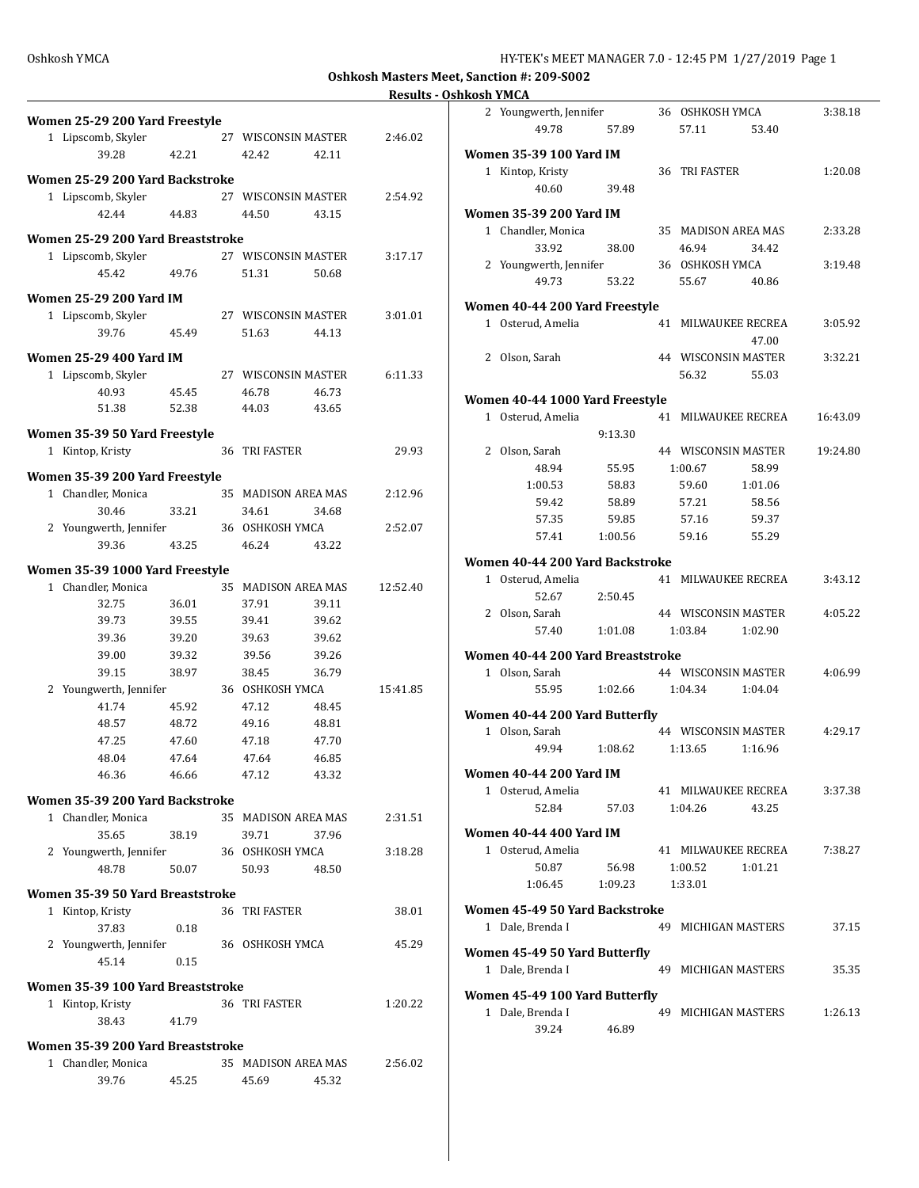**Oshkosh Masters Meet, Sanction #: 209-S002**

**Results - Oshkosh YMCA**

|                                   |       |                      |                     | nesuns : |
|-----------------------------------|-------|----------------------|---------------------|----------|
| Women 25-29 200 Yard Freestyle    |       |                      |                     |          |
| 1 Lipscomb, Skyler                |       |                      | 27 WISCONSIN MASTER | 2:46.02  |
| 39.28                             | 42.21 | 42.42                | 42.11               |          |
|                                   |       |                      |                     |          |
| Women 25-29 200 Yard Backstroke   |       |                      |                     |          |
| 1 Lipscomb, Skyler                |       |                      | 27 WISCONSIN MASTER | 2:54.92  |
| 42.44                             | 44.83 | 44.50                | 43.15               |          |
| Women 25-29 200 Yard Breaststroke |       |                      |                     |          |
| 1 Lipscomb, Skyler                |       |                      | 27 WISCONSIN MASTER | 3:17.17  |
| 45.42                             | 49.76 | 51.31                | 50.68               |          |
| Women 25-29 200 Yard IM           |       |                      |                     |          |
| 1 Lipscomb, Skyler                |       |                      | 27 WISCONSIN MASTER | 3:01.01  |
| 39.76                             | 45.49 | 51.63                | 44.13               |          |
|                                   |       |                      |                     |          |
| <b>Women 25-29 400 Yard IM</b>    |       |                      |                     |          |
| 1 Lipscomb, Skyler                |       |                      | 27 WISCONSIN MASTER | 6:11.33  |
| 40.93                             | 45.45 | 46.78                | 46.73               |          |
| 51.38                             | 52.38 | 44.03                | 43.65               |          |
| Women 35-39 50 Yard Freestyle     |       |                      |                     |          |
| 1 Kintop, Kristy                  |       | 36 TRI FASTER        |                     | 29.93    |
| Women 35-39 200 Yard Freestyle    |       |                      |                     |          |
| 1 Chandler, Monica                |       |                      | 35 MADISON AREA MAS | 2:12.96  |
| 30.46                             | 33.21 | 34.61                | 34.68               |          |
| 2 Youngwerth, Jennifer            |       | 36 OSHKOSH YMCA      |                     | 2:52.07  |
| 39.36                             | 43.25 | 46.24                | 43.22               |          |
|                                   |       |                      |                     |          |
| Women 35-39 1000 Yard Freestyle   |       |                      |                     |          |
| 1 Chandler, Monica                |       |                      | 35 MADISON AREA MAS | 12:52.40 |
| 32.75                             | 36.01 | 37.91                | 39.11               |          |
| 39.73                             | 39.55 | 39.41                | 39.62               |          |
| 39.36                             | 39.20 | 39.63                | 39.62               |          |
| 39.00                             | 39.32 | 39.56                | 39.26               |          |
| 39.15                             | 38.97 | 38.45                | 36.79               |          |
| 2 Youngwerth, Jennifer            |       | 36 OSHKOSH YMCA      |                     | 15:41.85 |
| 41.74                             | 45.92 | 47.12                | 48.45               |          |
| 48.57                             | 48.72 | 49.16                | 48.81               |          |
| 47.25                             | 47.60 | 47.18                | 47.70               |          |
| 48.04                             | 47.64 | 47.64                | 46.85               |          |
| 46.36                             | 46.66 | 47.12                | 43.32               |          |
| Women 35-39 200 Yard Backstroke   |       |                      |                     |          |
| 1 Chandler, Monica                |       |                      | 35 MADISON AREA MAS | 2:31.51  |
| 35.65                             | 38.19 | 39.71                | 37.96               |          |
| 2 Youngwerth, Jennifer            |       | 36 OSHKOSH YMCA      |                     | 3:18.28  |
| 48.78                             | 50.07 | 50.93                | 48.50               |          |
| Women 35-39 50 Yard Breaststroke  |       |                      |                     |          |
| 1 Kintop, Kristy                  |       | 36 TRI FASTER        |                     | 38.01    |
| 37.83                             | 0.18  |                      |                     |          |
| 2 Youngwerth, Jennifer            |       | 36 OSHKOSH YMCA      |                     | 45.29    |
| 45.14                             | 0.15  |                      |                     |          |
| Women 35-39 100 Yard Breaststroke |       |                      |                     |          |
| 1 Kintop, Kristy                  |       | <b>36 TRI FASTER</b> |                     | 1:20.22  |
| 38.43                             | 41.79 |                      |                     |          |
|                                   |       |                      |                     |          |
| Women 35-39 200 Yard Breaststroke |       |                      |                     |          |
| 1 Chandler, Monica                |       |                      | 35 MADISON AREA MAS | 2:56.02  |
| 39.76                             | 45.25 | 45.69                | 45.32               |          |
|                                   |       |                      |                     |          |

|              | 2 Youngwerth, Jennifer            |         |    | 36 OSHKOSH YMCA     |         | 3:38.18  |
|--------------|-----------------------------------|---------|----|---------------------|---------|----------|
|              | 49.78                             | 57.89   |    | 57.11               | 53.40   |          |
|              |                                   |         |    |                     |         |          |
|              | Women 35-39 100 Yard IM           |         |    |                     |         |          |
|              | 1 Kintop, Kristy                  |         |    | 36 TRI FASTER       |         | 1:20.08  |
|              | 40.60                             | 39.48   |    |                     |         |          |
|              | Women 35-39 200 Yard IM           |         |    |                     |         |          |
|              | 1 Chandler, Monica                |         |    | 35 MADISON AREA MAS |         | 2:33.28  |
|              | 33.92                             | 38.00   |    | 46.94               | 34.42   |          |
|              | 2 Youngwerth, Jennifer            |         |    | 36 OSHKOSH YMCA     |         | 3:19.48  |
|              | 49.73                             | 53.22   |    | 55.67               | 40.86   |          |
|              |                                   |         |    |                     |         |          |
|              | Women 40-44 200 Yard Freestyle    |         |    |                     |         |          |
|              | 1 Osterud, Amelia                 |         | 41 | MILWAUKEE RECREA    |         | 3:05.92  |
|              |                                   |         |    |                     | 47.00   |          |
|              | 2 Olson, Sarah                    |         |    | 44 WISCONSIN MASTER |         | 3:32.21  |
|              |                                   |         |    | 56.32               | 55.03   |          |
|              | Women 40-44 1000 Yard Freestyle   |         |    |                     |         |          |
| $\mathbf{1}$ | Osterud, Amelia                   |         | 41 | MILWAUKEE RECREA    |         | 16:43.09 |
|              |                                   | 9:13.30 |    |                     |         |          |
|              | 2 Olson, Sarah                    |         |    | 44 WISCONSIN MASTER |         | 19:24.80 |
|              | 48.94                             | 55.95   |    | 1:00.67             | 58.99   |          |
|              | 1:00.53                           | 58.83   |    | 59.60               | 1:01.06 |          |
|              | 59.42                             | 58.89   |    | 57.21               | 58.56   |          |
|              |                                   |         |    |                     |         |          |
|              | 57.35                             | 59.85   |    | 57.16               | 59.37   |          |
|              | 57.41                             | 1:00.56 |    | 59.16               | 55.29   |          |
|              | Women 40-44 200 Yard Backstroke   |         |    |                     |         |          |
| $\mathbf{1}$ | Osterud, Amelia                   |         | 41 | MILWAUKEE RECREA    |         | 3:43.12  |
|              | 52.67                             | 2:50.45 |    |                     |         |          |
|              | 2 Olson, Sarah                    |         |    | 44 WISCONSIN MASTER |         | 4:05.22  |
|              | 57.40                             | 1:01.08 |    | 1:03.84             | 1:02.90 |          |
|              |                                   |         |    |                     |         |          |
|              | Women 40-44 200 Yard Breaststroke |         |    |                     |         |          |
|              | 1 Olson, Sarah                    |         |    | 44 WISCONSIN MASTER |         | 4:06.99  |
|              | 55.95                             | 1:02.66 |    | 1:04.34             | 1:04.04 |          |
|              | Women 40-44 200 Yard Butterfly    |         |    |                     |         |          |
| $1\,$        | Olson, Sarah                      |         |    | 44 WISCONSIN MASTER |         | 4:29.17  |
|              | 49.94                             | 1:08.62 |    | 1:13.65             | 1:16.96 |          |
|              |                                   |         |    |                     |         |          |
|              | Women 40-44 200 Yard IM           |         |    |                     |         |          |
|              | 1 Osterud, Amelia                 |         |    | 41 MILWAUKEE RECREA |         | 3:37.38  |
|              | 52.84                             | 57.03   |    | 1:04.26             | 43.25   |          |
|              | Women 40-44 400 Yard IM           |         |    |                     |         |          |
|              | 1 Osterud, Amelia                 |         |    | 41 MILWAUKEE RECREA |         | 7:38.27  |
|              | 50.87                             | 56.98   |    | 1:00.52             | 1:01.21 |          |
|              | 1:06.45                           | 1:09.23 |    | 1:33.01             |         |          |
|              |                                   |         |    |                     |         |          |
|              | Women 45-49 50 Yard Backstroke    |         |    |                     |         |          |
|              | 1 Dale, Brenda I                  |         |    | 49 MICHIGAN MASTERS |         | 37.15    |
|              | Women 45-49 50 Yard Butterfly     |         |    |                     |         |          |
|              | 1 Dale, Brenda I                  |         |    | 49 MICHIGAN MASTERS |         | 35.35    |
|              |                                   |         |    |                     |         |          |
|              | Women 45-49 100 Yard Butterfly    |         |    |                     |         |          |
|              | 1 Dale, Brenda I                  |         |    | 49 MICHIGAN MASTERS |         | 1:26.13  |
|              | 39.24                             | 46.89   |    |                     |         |          |
|              |                                   |         |    |                     |         |          |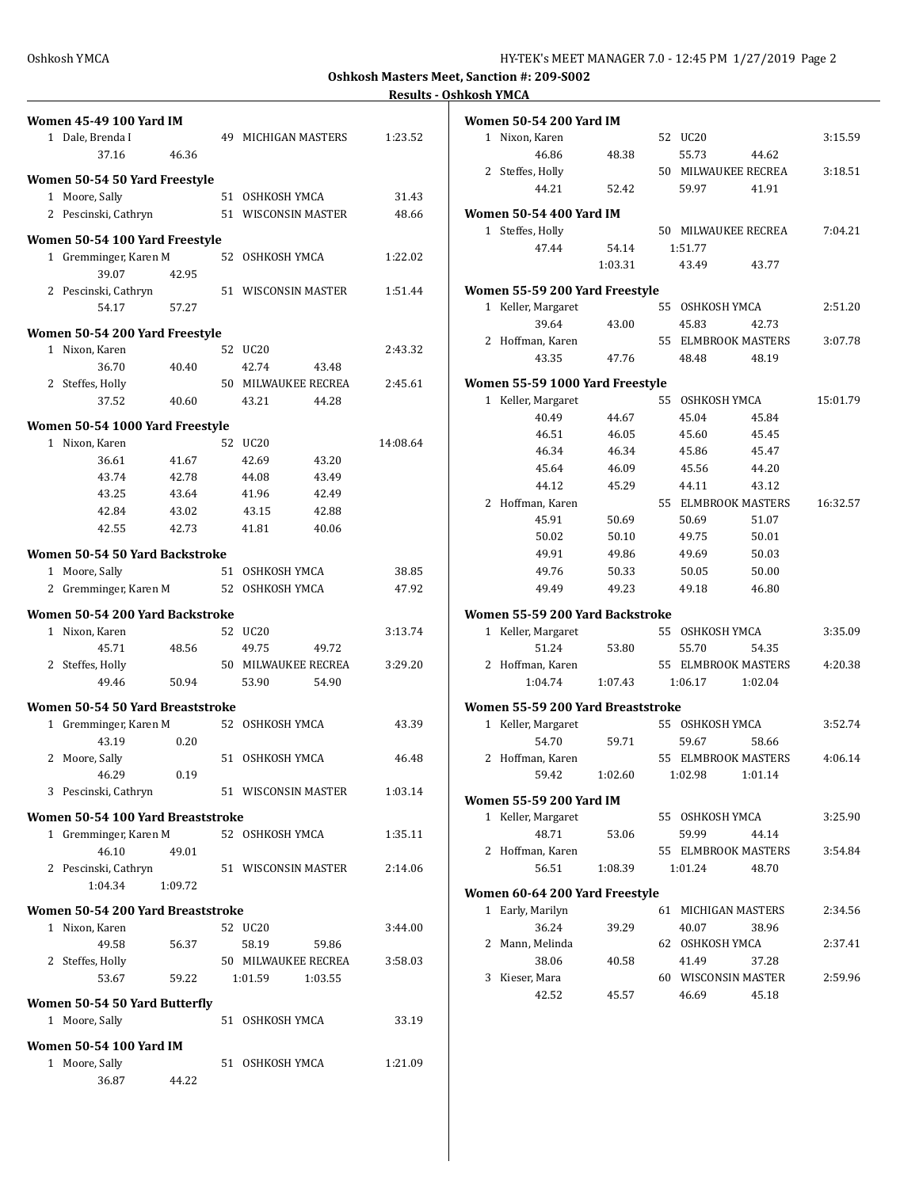**Oshkosh Masters Meet, Sanction #: 209-S002**

## **Results - Oshkosh YMCA**

|                  | <b>Women 45-49 100 Yard IM</b>    |                     |          | <b>Women 50-54 200 Yard IM</b>    |         |                     |                     |          |
|------------------|-----------------------------------|---------------------|----------|-----------------------------------|---------|---------------------|---------------------|----------|
| 1 Dale, Brenda I |                                   | 49 MICHIGAN MASTERS | 1:23.52  | 1 Nixon, Karen                    |         | 52 UC20             |                     | 3:15.59  |
|                  | 46.36<br>37.16                    |                     |          | 46.86                             | 48.38   | 55.73               | 44.62               |          |
|                  |                                   |                     |          | 2 Steffes, Holly                  |         |                     | 50 MILWAUKEE RECREA | 3:18.51  |
|                  | Women 50-54 50 Yard Freestyle     |                     |          |                                   |         |                     |                     |          |
| 1 Moore, Sally   |                                   | 51 OSHKOSH YMCA     | 31.43    | 44.21                             | 52.42   | 59.97               | 41.91               |          |
|                  | 2 Pescinski, Cathryn              | 51 WISCONSIN MASTER | 48.66    | <b>Women 50-54 400 Yard IM</b>    |         |                     |                     |          |
|                  |                                   |                     |          | 1 Steffes, Holly                  |         |                     | 50 MILWAUKEE RECREA | 7:04.21  |
|                  | Women 50-54 100 Yard Freestyle    |                     |          | 47.44                             | 54.14   | 1:51.77             |                     |          |
|                  | 1 Gremminger, Karen M             | 52 OSHKOSH YMCA     | 1:22.02  |                                   | 1:03.31 | 43.49               | 43.77               |          |
|                  | 39.07<br>42.95                    |                     |          |                                   |         |                     |                     |          |
|                  | 2 Pescinski, Cathryn              | 51 WISCONSIN MASTER | 1:51.44  | Women 55-59 200 Yard Freestyle    |         |                     |                     |          |
|                  | 57.27<br>54.17                    |                     |          | 1 Keller, Margaret                |         | 55 OSHKOSH YMCA     |                     | 2:51.20  |
|                  |                                   |                     |          | 39.64                             | 43.00   | 45.83               | 42.73               |          |
|                  | Women 50-54 200 Yard Freestyle    |                     |          | 2 Hoffman, Karen                  |         |                     | 55 ELMBROOK MASTERS | 3:07.78  |
| 1 Nixon, Karen   |                                   | 52 UC20             | 2:43.32  | 43.35                             | 47.76   | 48.48               | 48.19               |          |
|                  | 36.70<br>40.40                    | 42.74<br>43.48      |          |                                   |         |                     |                     |          |
| 2 Steffes, Holly |                                   | 50 MILWAUKEE RECREA | 2:45.61  | Women 55-59 1000 Yard Freestyle   |         |                     |                     |          |
|                  | 37.52<br>40.60                    | 43.21<br>44.28      |          | 1 Keller, Margaret                |         | 55 OSHKOSH YMCA     |                     | 15:01.79 |
|                  | Women 50-54 1000 Yard Freestyle   |                     |          | 40.49                             | 44.67   | 45.04               | 45.84               |          |
| 1 Nixon, Karen   |                                   | 52 UC20             | 14:08.64 | 46.51                             | 46.05   | 45.60               | 45.45               |          |
|                  | 36.61                             |                     |          | 46.34                             | 46.34   | 45.86               | 45.47               |          |
|                  | 41.67                             | 42.69<br>43.20      |          | 45.64                             | 46.09   | 45.56               | 44.20               |          |
|                  | 43.74<br>42.78                    | 44.08<br>43.49      |          | 44.12                             | 45.29   | 44.11               | 43.12               |          |
|                  | 43.64<br>43.25                    | 41.96<br>42.49      |          | 2 Hoffman, Karen                  |         |                     | 55 ELMBROOK MASTERS | 16:32.57 |
|                  | 42.84<br>43.02                    | 42.88<br>43.15      |          | 45.91                             | 50.69   | 50.69               | 51.07               |          |
|                  | 42.55<br>42.73                    | 41.81<br>40.06      |          | 50.02                             | 50.10   | 49.75               | 50.01               |          |
|                  | Women 50-54 50 Yard Backstroke    |                     |          | 49.91                             | 49.86   | 49.69               | 50.03               |          |
|                  |                                   |                     |          | 49.76                             | 50.33   |                     | 50.00               |          |
| 1 Moore, Sally   |                                   | 51 OSHKOSH YMCA     | 38.85    |                                   |         | 50.05               |                     |          |
|                  | 2 Gremminger, Karen M             | 52 OSHKOSH YMCA     | 47.92    | 49.49                             | 49.23   | 49.18               | 46.80               |          |
|                  | Women 50-54 200 Yard Backstroke   |                     |          | Women 55-59 200 Yard Backstroke   |         |                     |                     |          |
| 1 Nixon, Karen   |                                   | 52 UC20             | 3:13.74  | 1 Keller, Margaret                |         | 55 OSHKOSH YMCA     |                     | 3:35.09  |
|                  | 45.71<br>48.56                    | 49.72<br>49.75      |          | 51.24                             | 53.80   | 55.70               | 54.35               |          |
| 2 Steffes, Holly |                                   | 50 MILWAUKEE RECREA | 3:29.20  | 2 Hoffman, Karen                  |         |                     | 55 ELMBROOK MASTERS | 4:20.38  |
|                  | 49.46<br>50.94                    | 53.90<br>54.90      |          | 1:04.74                           | 1:07.43 | 1:06.17             | 1:02.04             |          |
|                  |                                   |                     |          |                                   |         |                     |                     |          |
|                  | Women 50-54 50 Yard Breaststroke  |                     |          | Women 55-59 200 Yard Breaststroke |         |                     |                     |          |
|                  | 1 Gremminger, Karen M             | 52 OSHKOSH YMCA     | 43.39    | 1 Keller, Margaret                |         | 55 OSHKOSH YMCA     |                     | 3:52.74  |
|                  | 43.19<br>0.20                     |                     |          | 54.70                             | 59.71   | 59.67               | 58.66               |          |
| 2 Moore, Sally   |                                   | 51 OSHKOSH YMCA     | 46.48    | 2 Hoffman, Karen                  |         |                     | 55 ELMBROOK MASTERS | 4:06.14  |
|                  | 46.29<br>0.19                     |                     |          | 59.42                             | 1:02.60 | 1:02.98             | 1:01.14             |          |
|                  | 3 Pescinski, Cathryn              | 51 WISCONSIN MASTER | 1:03.14  |                                   |         |                     |                     |          |
|                  |                                   |                     |          | <b>Women 55-59 200 Yard IM</b>    |         |                     |                     |          |
|                  | Women 50-54 100 Yard Breaststroke |                     |          | 1 Keller, Margaret                |         | 55 OSHKOSH YMCA     |                     | 3:25.90  |
|                  | 1 Gremminger, Karen M             | 52 OSHKOSH YMCA     | 1:35.11  | 48.71                             | 53.06   | 59.99               | 44.14               |          |
|                  | 46.10<br>49.01                    |                     |          | 2 Hoffman, Karen                  |         |                     | 55 ELMBROOK MASTERS | 3:54.84  |
|                  | 2 Pescinski, Cathryn              | 51 WISCONSIN MASTER | 2:14.06  | 56.51                             | 1:08.39 | 1:01.24             | 48.70               |          |
|                  | 1:04.34<br>1:09.72                |                     |          | Women 60-64 200 Yard Freestyle    |         |                     |                     |          |
|                  | Women 50-54 200 Yard Breaststroke |                     |          | 1 Early, Marilyn                  |         | 61 MICHIGAN MASTERS |                     | 2:34.56  |
| 1 Nixon, Karen   |                                   | 52 UC20             | 3:44.00  | 36.24                             | 39.29   | 40.07               | 38.96               |          |
|                  | 49.58                             | 58.19<br>59.86      |          | 2 Mann, Melinda                   |         | 62 OSHKOSH YMCA     |                     | 2:37.41  |
| 2 Steffes, Holly | 56.37                             | 50 MILWAUKEE RECREA | 3:58.03  | 38.06                             | 40.58   | 41.49               | 37.28               |          |
|                  |                                   |                     |          |                                   |         |                     |                     |          |
|                  | 53.67<br>59.22                    | 1:03.55<br>1:01.59  |          | 3 Kieser, Mara                    |         | 60 WISCONSIN MASTER |                     | 2:59.96  |
|                  | Women 50-54 50 Yard Butterfly     |                     |          | 42.52                             | 45.57   | 46.69               | 45.18               |          |
| 1 Moore, Sally   |                                   | 51 OSHKOSH YMCA     | 33.19    |                                   |         |                     |                     |          |
|                  |                                   |                     |          |                                   |         |                     |                     |          |
|                  | <b>Women 50-54 100 Yard IM</b>    |                     |          |                                   |         |                     |                     |          |
| 1 Moore, Sally   |                                   | 51 OSHKOSH YMCA     | 1:21.09  |                                   |         |                     |                     |          |
|                  |                                   |                     |          |                                   |         |                     |                     |          |
|                  | 36.87<br>44.22                    |                     |          |                                   |         |                     |                     |          |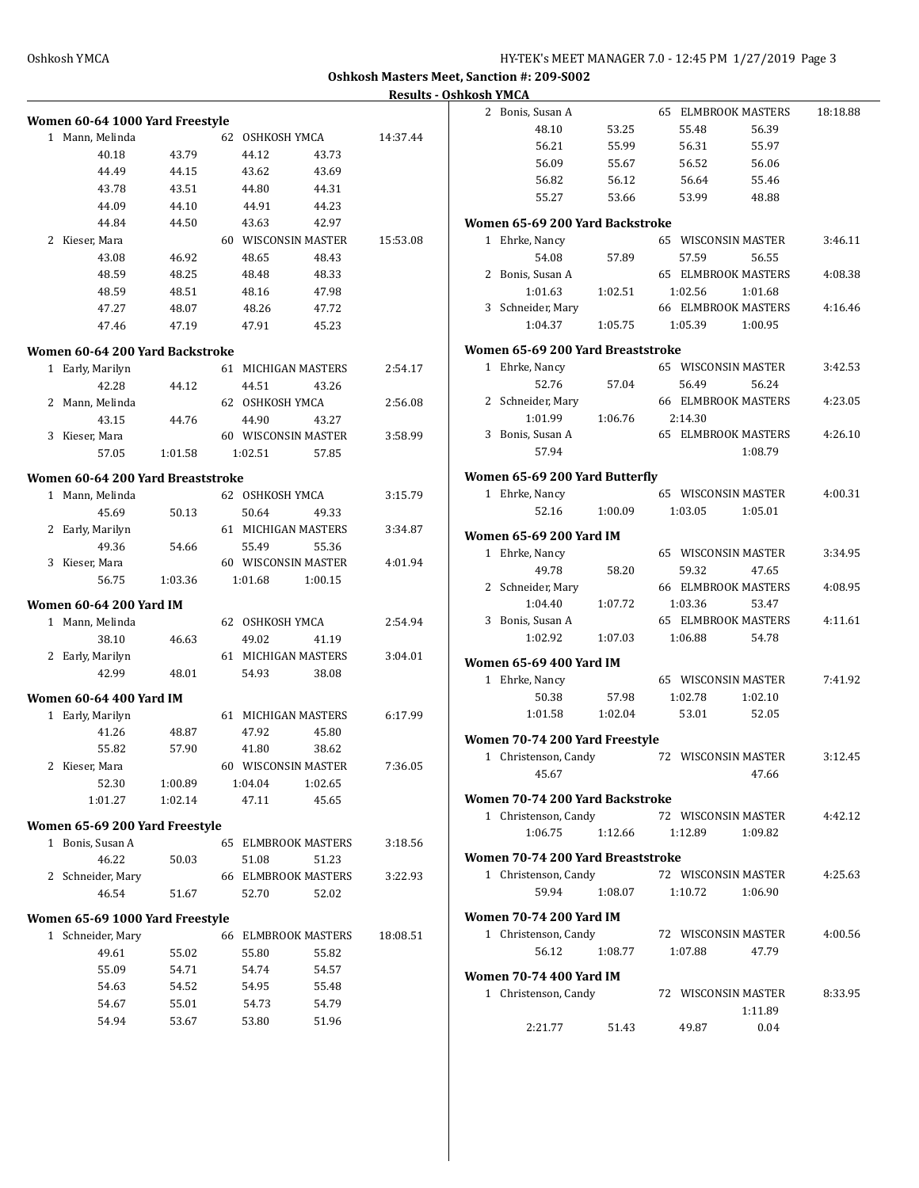**Oshkosh Masters Meet, Sanction #: 209-S002 Results - Oshkosh YMCA**

|                                                    |         |                 |                            |          | 2 Bonis, Susan A                  |         | <b>65 ELMBROOK MASTERS</b> |         | 18:18.88 |
|----------------------------------------------------|---------|-----------------|----------------------------|----------|-----------------------------------|---------|----------------------------|---------|----------|
| Women 60-64 1000 Yard Freestyle<br>1 Mann, Melinda |         | 62 OSHKOSH YMCA |                            | 14:37.44 | 48.10                             | 53.25   | 55.48                      | 56.39   |          |
| 40.18                                              | 43.79   | 44.12           | 43.73                      |          | 56.21                             | 55.99   | 56.31                      | 55.97   |          |
| 44.49                                              | 44.15   | 43.62           | 43.69                      |          | 56.09                             | 55.67   | 56.52                      | 56.06   |          |
| 43.78                                              | 43.51   | 44.80           | 44.31                      |          | 56.82                             | 56.12   | 56.64                      | 55.46   |          |
| 44.09                                              |         |                 |                            |          | 55.27                             | 53.66   | 53.99                      | 48.88   |          |
|                                                    | 44.10   | 44.91           | 44.23                      |          |                                   |         |                            |         |          |
| 44.84                                              | 44.50   | 43.63           | 42.97                      |          | Women 65-69 200 Yard Backstroke   |         |                            |         |          |
| 2 Kieser, Mara                                     |         |                 | 60 WISCONSIN MASTER        | 15:53.08 | 1 Ehrke, Nancy                    |         | 65 WISCONSIN MASTER        |         | 3:46.11  |
| 43.08                                              | 46.92   | 48.65           | 48.43                      |          | 54.08                             | 57.89   | 57.59                      | 56.55   |          |
| 48.59                                              | 48.25   | 48.48           | 48.33                      |          | 2 Bonis, Susan A                  |         | <b>65 ELMBROOK MASTERS</b> |         | 4:08.38  |
| 48.59                                              | 48.51   | 48.16           | 47.98                      |          | 1:01.63                           | 1:02.51 | 1:02.56                    | 1:01.68 |          |
| 47.27                                              | 48.07   | 48.26           | 47.72                      |          | 3 Schneider, Mary                 |         | <b>66 ELMBROOK MASTERS</b> |         | 4:16.46  |
| 47.46                                              | 47.19   | 47.91           | 45.23                      |          | 1:04.37                           | 1:05.75 | 1:05.39                    | 1:00.95 |          |
| Women 60-64 200 Yard Backstroke                    |         |                 |                            |          | Women 65-69 200 Yard Breaststroke |         |                            |         |          |
| 1 Early, Marilyn                                   |         |                 | 61 MICHIGAN MASTERS        | 2:54.17  | 1 Ehrke, Nancy                    |         | 65 WISCONSIN MASTER        |         | 3:42.53  |
| 42.28                                              | 44.12   | 44.51           | 43.26                      |          | 52.76                             | 57.04   | 56.49                      | 56.24   |          |
| 2 Mann, Melinda                                    |         | 62 OSHKOSH YMCA |                            | 2:56.08  | 2 Schneider, Mary                 |         | <b>66 ELMBROOK MASTERS</b> |         | 4:23.05  |
| 43.15                                              | 44.76   | 44.90           | 43.27                      |          | 1:01.99                           | 1:06.76 | 2:14.30                    |         |          |
| 3 Kieser, Mara                                     |         |                 | 60 WISCONSIN MASTER        | 3:58.99  | 3 Bonis, Susan A                  |         | <b>65 ELMBROOK MASTERS</b> |         | 4:26.10  |
| 57.05                                              | 1:01.58 | 1:02.51         | 57.85                      |          | 57.94                             |         |                            | 1:08.79 |          |
| Women 60-64 200 Yard Breaststroke                  |         |                 |                            |          | Women 65-69 200 Yard Butterfly    |         |                            |         |          |
| 1 Mann, Melinda                                    |         | 62 OSHKOSH YMCA |                            | 3:15.79  | 1 Ehrke, Nancy                    |         | 65 WISCONSIN MASTER        |         | 4:00.31  |
| 45.69                                              | 50.13   | 50.64           | 49.33                      |          | 52.16                             | 1:00.09 | 1:03.05                    | 1:05.01 |          |
| 2 Early, Marilyn                                   |         |                 | 61 MICHIGAN MASTERS        | 3:34.87  |                                   |         |                            |         |          |
| 49.36                                              | 54.66   | 55.49           | 55.36                      |          | <b>Women 65-69 200 Yard IM</b>    |         |                            |         |          |
| 3 Kieser, Mara                                     |         |                 | 60 WISCONSIN MASTER        | 4:01.94  | 1 Ehrke, Nancy                    |         | 65 WISCONSIN MASTER        |         | 3:34.95  |
| 56.75                                              | 1:03.36 | 1:01.68         | 1:00.15                    |          | 49.78                             | 58.20   | 59.32                      | 47.65   |          |
|                                                    |         |                 |                            |          | 2 Schneider, Mary                 |         | <b>66 ELMBROOK MASTERS</b> |         | 4:08.95  |
| <b>Women 60-64 200 Yard IM</b>                     |         |                 |                            |          | 1:04.40                           | 1:07.72 | 1:03.36                    | 53.47   |          |
| 1 Mann, Melinda                                    |         | 62 OSHKOSH YMCA |                            | 2:54.94  | 3 Bonis, Susan A                  |         | <b>65 ELMBROOK MASTERS</b> |         | 4:11.61  |
| 38.10                                              | 46.63   | 49.02           | 41.19                      |          | 1:02.92                           | 1:07.03 | 1:06.88                    | 54.78   |          |
| 2 Early, Marilyn                                   |         |                 | 61 MICHIGAN MASTERS        | 3:04.01  | <b>Women 65-69 400 Yard IM</b>    |         |                            |         |          |
| 42.99                                              | 48.01   | 54.93           | 38.08                      |          | 1 Ehrke, Nancy                    |         | 65 WISCONSIN MASTER        |         | 7:41.92  |
| Women 60-64 400 Yard IM                            |         |                 |                            |          | 50.38                             | 57.98   | 1:02.78                    | 1:02.10 |          |
|                                                    |         |                 | 61 MICHIGAN MASTERS        | 6:17.99  | 1:01.58                           | 1:02.04 | 53.01                      | 52.05   |          |
| 1 Early, Marilyn<br>41.26                          | 48.87   | 47.92           | 45.80                      |          |                                   |         |                            |         |          |
|                                                    |         |                 |                            |          | Women 70-74 200 Yard Freestyle    |         |                            |         |          |
| 55.82                                              | 57.90   | 41.80           | 38.62                      |          | 1 Christenson, Candy              |         | 72 WISCONSIN MASTER        |         | 3:12.45  |
| 2 Kieser, Mara                                     |         |                 | 60 WISCONSIN MASTER        | 7:36.05  | 45.67                             |         |                            | 47.66   |          |
| 52.30                                              | 1:00.89 | 1:04.04         | 1:02.65                    |          |                                   |         |                            |         |          |
| 1:01.27                                            | 1:02.14 | 47.11           | 45.65                      |          | Women 70-74 200 Yard Backstroke   |         |                            |         |          |
| Women 65-69 200 Yard Freestyle                     |         |                 |                            |          | 1 Christenson, Candy              |         | 72 WISCONSIN MASTER        |         | 4:42.12  |
| 1 Bonis, Susan A                                   |         |                 | 65 ELMBROOK MASTERS        | 3:18.56  | 1:06.75                           | 1:12.66 | 1:12.89                    | 1:09.82 |          |
| 46.22                                              | 50.03   | 51.08           | 51.23                      |          | Women 70-74 200 Yard Breaststroke |         |                            |         |          |
| 2 Schneider, Mary                                  |         |                 | <b>66 ELMBROOK MASTERS</b> | 3:22.93  | 1 Christenson, Candy              |         | 72 WISCONSIN MASTER        |         | 4:25.63  |
| 46.54                                              | 51.67   | 52.70           | 52.02                      |          | 59.94                             | 1:08.07 | 1:10.72                    | 1:06.90 |          |
| Women 65-69 1000 Yard Freestyle                    |         |                 |                            |          | <b>Women 70-74 200 Yard IM</b>    |         |                            |         |          |
| 1 Schneider, Mary                                  |         |                 | 66 ELMBROOK MASTERS        | 18:08.51 | 1 Christenson, Candy              |         | 72 WISCONSIN MASTER        |         | 4:00.56  |
| 49.61                                              | 55.02   | 55.80           | 55.82                      |          | 56.12                             | 1:08.77 | 1:07.88                    | 47.79   |          |
| 55.09                                              |         |                 |                            |          |                                   |         |                            |         |          |
|                                                    | 54.71   | 54.74           | 54.57                      |          | <b>Women 70-74 400 Yard IM</b>    |         |                            |         |          |
| 54.63                                              | 54.52   | 54.95           | 55.48                      |          | 1 Christenson, Candy              |         | 72 WISCONSIN MASTER        |         | 8:33.95  |
| 54.67                                              | 55.01   | 54.73           | 54.79                      |          |                                   |         |                            | 1:11.89 |          |
| 54.94                                              | 53.67   | 53.80           | 51.96                      |          | 2:21.77                           | 51.43   | 49.87                      | 0.04    |          |
|                                                    |         |                 |                            |          |                                   |         |                            |         |          |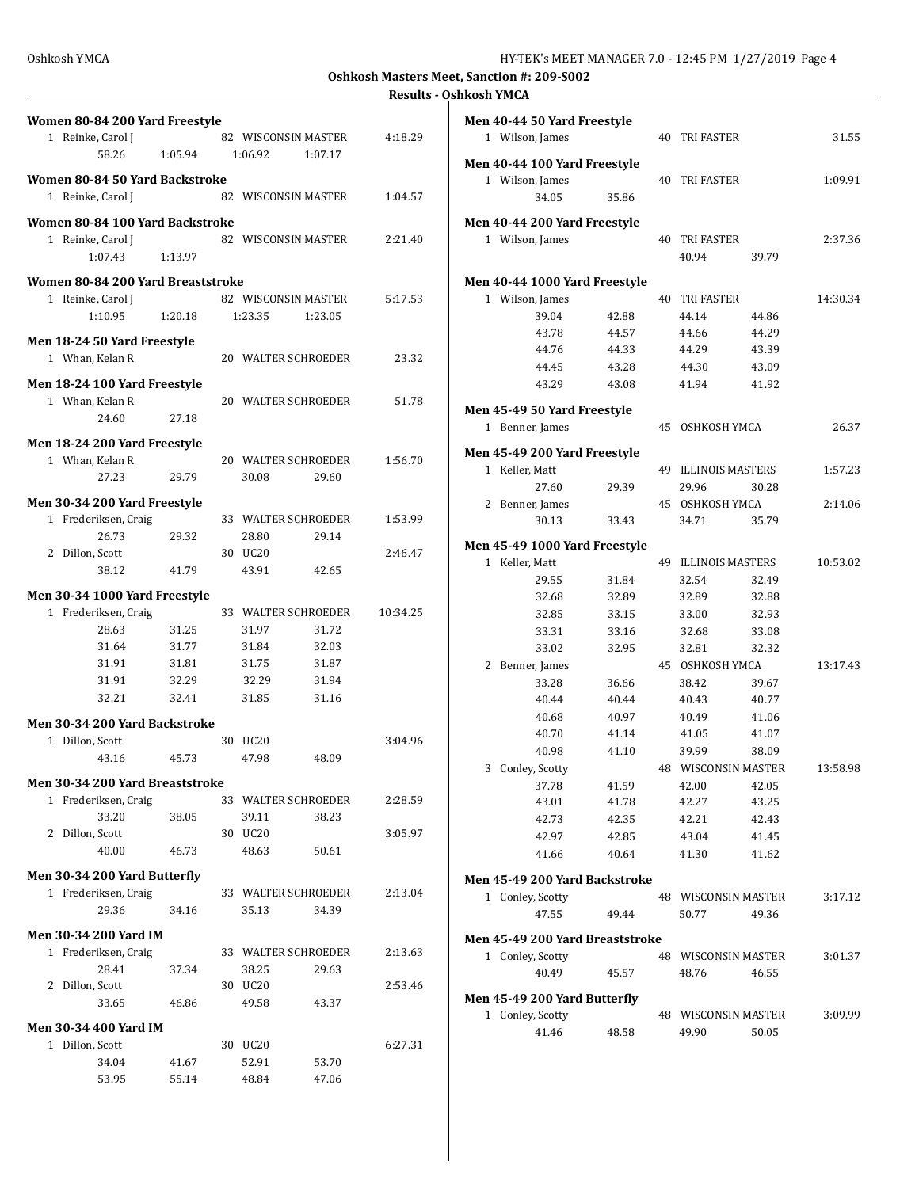$1:09.91$ 

2:37.36

 $1:57.23$ 

 $2:14.06$ 

 $3:17.12$ 

**Oshkosh Masters Meet, Sanction #: 209-S002**

## **Results - Oshkosh YMCA**

| Women 80-84 200 Yard Freestyle    |         |         |                              |          | Men 40-44 50 Yard Freestyle     |                |                      |                |          |
|-----------------------------------|---------|---------|------------------------------|----------|---------------------------------|----------------|----------------------|----------------|----------|
| 1 Reinke, Carol J                 |         |         | 82 WISCONSIN MASTER          | 4:18.29  | 1 Wilson, James                 |                | <b>40 TRI FASTER</b> |                | 31.55    |
| 58.26                             | 1:05.94 | 1:06.92 | 1:07.17                      |          | Men 40-44 100 Yard Freestyle    |                |                      |                |          |
| Women 80-84 50 Yard Backstroke    |         |         |                              |          | 1 Wilson, James                 |                | <b>40 TRI FASTER</b> |                | 1:09.91  |
| 1 Reinke, Carol J                 |         |         | 82 WISCONSIN MASTER          | 1:04.57  | 34.05                           | 35.86          |                      |                |          |
| Women 80-84 100 Yard Backstroke   |         |         |                              |          | Men 40-44 200 Yard Freestyle    |                |                      |                |          |
| 1 Reinke, Carol J                 |         |         | 82 WISCONSIN MASTER          | 2:21.40  | 1 Wilson, James                 |                | <b>40 TRI FASTER</b> |                | 2:37.36  |
| 1:07.43                           | 1:13.97 |         |                              |          |                                 |                | 40.94                | 39.79          |          |
| Women 80-84 200 Yard Breaststroke |         |         |                              |          | Men 40-44 1000 Yard Freestyle   |                |                      |                |          |
| 1 Reinke, Carol J                 |         |         | 82 WISCONSIN MASTER          | 5:17.53  | 1 Wilson, James                 |                | <b>40 TRI FASTER</b> |                | 14:30.34 |
| 1:10.95                           | 1:20.18 | 1:23.35 | 1:23.05                      |          | 39.04                           | 42.88          | 44.14                | 44.86          |          |
| Men 18-24 50 Yard Freestyle       |         |         |                              |          | 43.78                           | 44.57          | 44.66                | 44.29          |          |
| 1 Whan, Kelan R                   |         |         | 20 WALTER SCHROEDER          | 23.32    | 44.76                           | 44.33          | 44.29                | 43.39          |          |
|                                   |         |         |                              |          | 44.45                           | 43.28          | 44.30                | 43.09          |          |
| Men 18-24 100 Yard Freestyle      |         |         |                              |          | 43.29                           | 43.08          | 41.94                | 41.92          |          |
| 1 Whan, Kelan R                   |         |         | 20 WALTER SCHROEDER          | 51.78    | Men 45-49 50 Yard Freestyle     |                |                      |                |          |
| 24.60                             | 27.18   |         |                              |          | 1 Benner, James                 |                | 45 OSHKOSH YMCA      |                | 26.37    |
| Men 18-24 200 Yard Freestyle      |         |         |                              |          |                                 |                |                      |                |          |
| 1 Whan, Kelan R                   |         |         | 20 WALTER SCHROEDER          | 1:56.70  | Men 45-49 200 Yard Freestyle    |                |                      |                |          |
| 27.23                             | 29.79   | 30.08   | 29.60                        |          | 1 Keller, Matt                  |                | 49 ILLINOIS MASTERS  |                | 1:57.23  |
|                                   |         |         |                              |          | 27.60                           | 29.39          | 29.96                | 30.28          |          |
| Men 30-34 200 Yard Freestyle      |         |         | 33 WALTER SCHROEDER          |          | 2 Benner, James                 |                | 45 OSHKOSH YMCA      |                | 2:14.06  |
| 1 Frederiksen, Craig<br>26.73     | 29.32   | 28.80   | 29.14                        | 1:53.99  | 30.13                           | 33.43          | 34.71                | 35.79          |          |
| 2 Dillon, Scott                   |         | 30 UC20 |                              | 2:46.47  | Men 45-49 1000 Yard Freestyle   |                |                      |                |          |
| 38.12                             | 41.79   | 43.91   | 42.65                        |          | 1 Keller, Matt                  |                | 49 ILLINOIS MASTERS  |                | 10:53.02 |
|                                   |         |         |                              |          | 29.55                           | 31.84          | 32.54                | 32.49          |          |
| Men 30-34 1000 Yard Freestyle     |         |         |                              |          | 32.68                           | 32.89          | 32.89                | 32.88          |          |
| 1 Frederiksen, Craig              |         |         | 33 WALTER SCHROEDER          | 10:34.25 | 32.85                           | 33.15          | 33.00                | 32.93          |          |
| 28.63                             | 31.25   | 31.97   | 31.72                        |          | 33.31                           | 33.16          | 32.68                | 33.08          |          |
| 31.64                             | 31.77   | 31.84   | 32.03                        |          | 33.02                           | 32.95          | 32.81                | 32.32          |          |
| 31.91                             | 31.81   | 31.75   | 31.87                        |          | 2 Benner, James                 |                | 45 OSHKOSH YMCA      |                | 13:17.43 |
| 31.91                             | 32.29   | 32.29   | 31.94                        |          | 33.28                           | 36.66          | 38.42                | 39.67          |          |
| 32.21                             | 32.41   | 31.85   | 31.16                        |          | 40.44                           | 40.44          | 40.43                | 40.77          |          |
| Men 30-34 200 Yard Backstroke     |         |         |                              |          | 40.68                           | 40.97          | 40.49                | 41.06          |          |
| 1 Dillon, Scott                   |         | 30 UC20 |                              | 3:04.96  | 40.70                           | 41.14          | 41.05                | 41.07          |          |
| 43.16                             | 45.73   | 47.98   | 48.09                        |          | 40.98                           | 41.10          | 39.99                | 38.09          |          |
| Men 30-34 200 Yard Breaststroke   |         |         |                              |          | 3 Conley, Scotty                |                | 48 WISCONSIN MASTER  |                | 13:58.98 |
| 1 Frederiksen, Craig              |         |         | 33 WALTER SCHROEDER          | 2:28.59  | 37.78<br>43.01                  | 41.59<br>41.78 | 42.00<br>42.27       | 42.05<br>43.25 |          |
| 33.20                             | 38.05   | 39.11   | 38.23                        |          | 42.73                           | 42.35          | 42.21                | 42.43          |          |
| 2 Dillon, Scott                   |         | 30 UC20 |                              | 3:05.97  | 42.97                           | 42.85          | 43.04                | 41.45          |          |
| 40.00                             | 46.73   | 48.63   | 50.61                        |          | 41.66                           | 40.64          | 41.30                | 41.62          |          |
|                                   |         |         |                              |          |                                 |                |                      |                |          |
| Men 30-34 200 Yard Butterfly      |         |         |                              |          | Men 45-49 200 Yard Backstroke   |                |                      |                |          |
| 1 Frederiksen, Craig<br>29.36     | 34.16   | 35.13   | 33 WALTER SCHROEDER<br>34.39 | 2:13.04  | 1 Conley, Scotty                |                | 48 WISCONSIN MASTER  |                | 3:17.12  |
|                                   |         |         |                              |          | 47.55                           | 49.44          | 50.77                | 49.36          |          |
| <b>Men 30-34 200 Yard IM</b>      |         |         |                              |          | Men 45-49 200 Yard Breaststroke |                |                      |                |          |
| 1 Frederiksen, Craig              |         |         | 33 WALTER SCHROEDER          | 2:13.63  | 1 Conley, Scotty                |                | 48 WISCONSIN MASTER  |                | 3:01.37  |
| 28.41                             | 37.34   | 38.25   | 29.63                        |          | 40.49                           | 45.57          | 48.76                | 46.55          |          |
| 2 Dillon, Scott                   |         | 30 UC20 |                              | 2:53.46  | Men 45-49 200 Yard Butterfly    |                |                      |                |          |
| 33.65                             | 46.86   | 49.58   | 43.37                        |          | 1 Conley, Scotty                |                | 48 WISCONSIN MASTER  |                | 3:09.99  |
| Men 30-34 400 Yard IM             |         |         |                              |          | 41.46                           | 48.58          | 49.90                | 50.05          |          |
| 1 Dillon, Scott                   |         | 30 UC20 |                              | 6:27.31  |                                 |                |                      |                |          |
|                                   |         |         |                              |          |                                 |                |                      |                |          |
| 34.04                             | 41.67   | 52.91   | 53.70                        |          |                                 |                |                      |                |          |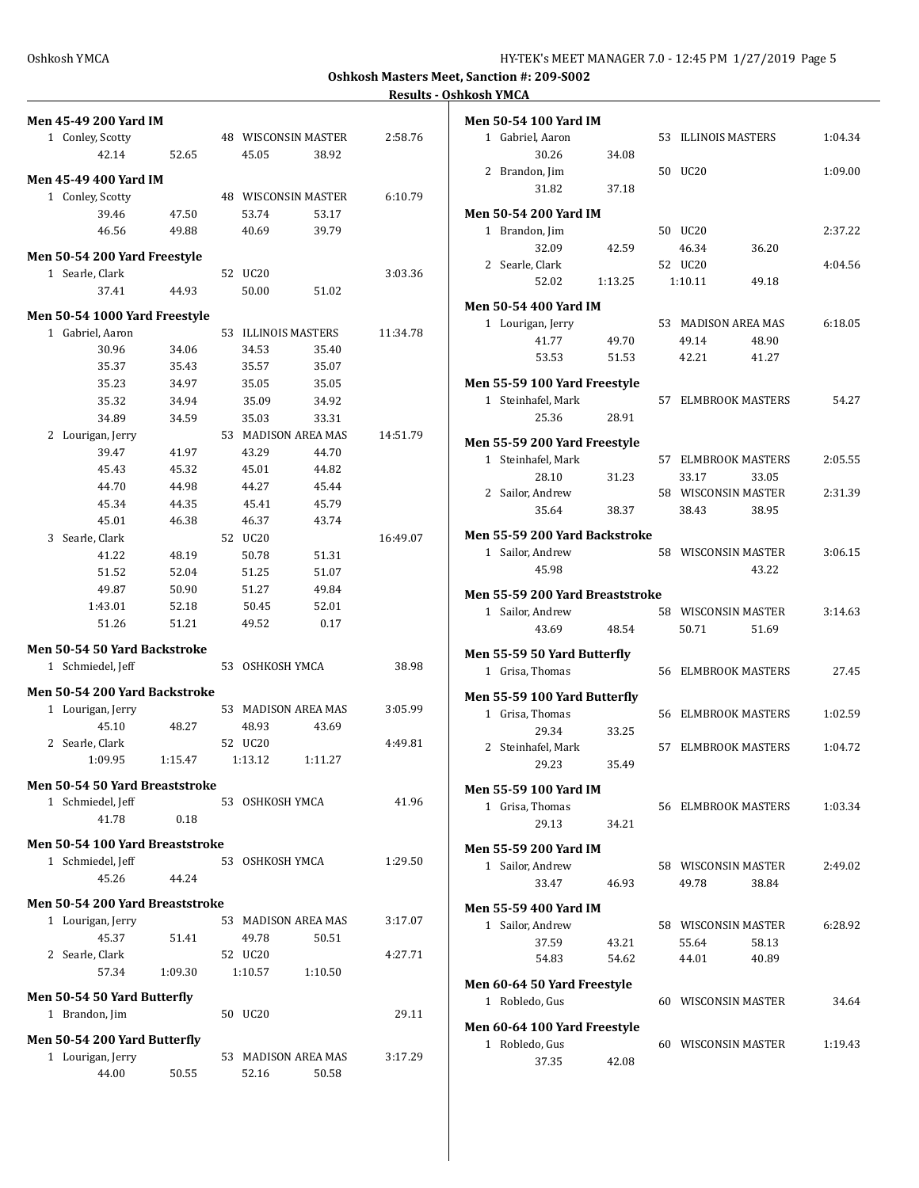**Oshkosh Masters Meet, Sanction #: 209-S002**

## **Results - Oshkosh YMCA**

| <b>Men 45-49 200 Yard IM</b>    |         |                 |                              |          | Men 50-54 10                |
|---------------------------------|---------|-----------------|------------------------------|----------|-----------------------------|
| 1 Conley, Scotty                |         |                 | 48 WISCONSIN MASTER          | 2:58.76  | 1 Gabriel,                  |
| 42.14                           | 52.65   | 45.05           | 38.92                        |          | 3                           |
| <b>Men 45-49 400 Yard IM</b>    |         |                 |                              |          | 2 Brandon<br>3              |
| 1 Conley, Scotty                |         |                 | 48 WISCONSIN MASTER          | 6:10.79  |                             |
| 39.46                           | 47.50   | 53.74           | 53.17                        |          | Men 50-54 20                |
| 46.56                           | 49.88   | 40.69           | 39.79                        |          | 1 Brandon                   |
| Men 50-54 200 Yard Freestyle    |         |                 |                              |          | 3                           |
| 1 Searle, Clark                 |         | 52 UC20         |                              | 3:03.36  | 2 Searle, C                 |
| 37.41                           | 44.93   | 50.00           | 51.02                        |          | 5                           |
|                                 |         |                 |                              |          | Men 50-54 40                |
| Men 50-54 1000 Yard Freestyle   |         |                 |                              |          | 1 Lourigar                  |
| 1 Gabriel, Aaron<br>30.96       | 34.06   | 34.53           | 53 ILLINOIS MASTERS<br>35.40 | 11:34.78 | 4                           |
| 35.37                           | 35.43   | 35.57           | 35.07                        |          | 5                           |
| 35.23                           | 34.97   | 35.05           | 35.05                        |          | Men 55-59 10                |
| 35.32                           | 34.94   | 35.09           | 34.92                        |          | 1 Steinhaf                  |
| 34.89                           | 34.59   | 35.03           | 33.31                        |          | 2                           |
| 2 Lourigan, Jerry               |         |                 | 53 MADISON AREA MAS          | 14:51.79 |                             |
| 39.47                           | 41.97   | 43.29           | 44.70                        |          | Men 55-59 20                |
| 45.43                           | 45.32   | 45.01           | 44.82                        |          | 1 Steinhaf                  |
| 44.70                           | 44.98   | 44.27           | 45.44                        |          | 2                           |
| 45.34                           | 44.35   | 45.41           | 45.79                        |          | 2 Sailor, A                 |
| 45.01                           | 46.38   | 46.37           | 43.74                        |          | 3                           |
| 3 Searle, Clark                 |         | 52 UC20         |                              | 16:49.07 | Men 55-59 20                |
| 41.22                           | 48.19   | 50.78           | 51.31                        |          | 1 Sailor, A                 |
| 51.52                           | 52.04   | 51.25           | 51.07                        |          | 4                           |
| 49.87                           | 50.90   | 51.27           | 49.84                        |          | Men 55-59 20                |
| 1:43.01                         | 52.18   | 50.45           | 52.01                        |          | 1 Sailor, A                 |
| 51.26                           | 51.21   | 49.52           | 0.17                         |          | 4                           |
| Men 50-54 50 Yard Backstroke    |         |                 |                              |          |                             |
| 1 Schmiedel, Jeff               |         | 53 OSHKOSH YMCA |                              | 38.98    | Men 55-59 50<br>1 Grisa, Th |
| Men 50-54 200 Yard Backstroke   |         |                 |                              |          |                             |
| 1 Lourigan, Jerry               |         |                 | 53 MADISON AREA MAS          | 3:05.99  | Men 55-59 10                |
| 45.10                           | 48.27   | 48.93           | 43.69                        |          | 1 Grisa, Th                 |
| 2 Searle, Clark                 |         | 52 UC20         |                              | 4:49.81  | 2                           |
| 1:09.95                         | 1:15.47 | 1:13.12         | 1:11.27                      |          | 2 Steinhaf                  |
|                                 |         |                 |                              |          | $\overline{2}$              |
| Men 50-54 50 Yard Breaststroke  |         |                 |                              |          | Men 55-59 10                |
| 1 Schmiedel, Jeff               |         | 53 OSHKOSH YMCA |                              | 41.96    | 1 Grisa, Th                 |
| 41.78                           | 0.18    |                 |                              |          | 2                           |
| Men 50-54 100 Yard Breaststroke |         |                 |                              |          | Men 55-59 20                |
| 1 Schmiedel, Jeff               |         | 53 OSHKOSH YMCA |                              | 1:29.50  | 1 Sailor, A                 |
| 45.26                           | 44.24   |                 |                              |          | 3                           |
| Men 50-54 200 Yard Breaststroke |         |                 |                              |          |                             |
| 1 Lourigan, Jerry               |         |                 | 53 MADISON AREA MAS          | 3:17.07  | Men 55-59 40                |
| 45.37                           | 51.41   | 49.78           | 50.51                        |          | 1 Sailor, A                 |
| 2 Searle, Clark                 |         | 52 UC20         |                              | 4:27.71  | 3<br>5                      |
| 57.34                           | 1:09.30 | 1:10.57         | 1:10.50                      |          |                             |
|                                 |         |                 |                              |          | Men 60-64 50                |
| Men 50-54 50 Yard Butterfly     |         |                 |                              |          | 1 Robledo                   |
| 1 Brandon, Jim                  |         | 50 UC20         |                              | 29.11    | Men 60-64 10                |
| Men 50-54 200 Yard Butterfly    |         |                 |                              |          | 1 Robledo                   |
| 1 Lourigan, Jerry               |         |                 | 53 MADISON AREA MAS          | 3:17.29  | 3                           |
| 44.00                           | 50.55   | 52.16           | 50.58                        |          |                             |

| Men 50-54 100 Yard IM           |         |    |                              |       |         |
|---------------------------------|---------|----|------------------------------|-------|---------|
| 1 Gabriel, Aaron                |         |    | 53 ILLINOIS MASTERS          |       | 1:04.34 |
| 30.26                           | 34.08   |    |                              |       |         |
| 2 Brandon, Jim                  |         |    | 50 UC20                      |       | 1:09.00 |
| 31.82                           | 37.18   |    |                              |       |         |
| Men 50-54 200 Yard IM           |         |    |                              |       |         |
| 1 Brandon, Jim                  |         |    | 50 UC20                      |       | 2:37.22 |
| 32.09                           | 42.59   |    | 46.34                        | 36.20 |         |
| 2 Searle, Clark                 |         |    | 52 UC20                      |       | 4:04.56 |
| 52.02                           | 1:13.25 |    | 1:10.11                      | 49.18 |         |
|                                 |         |    |                              |       |         |
| Men 50-54 400 Yard IM           |         |    |                              |       |         |
| 1 Lourigan, Jerry               |         |    | 53 MADISON AREA MAS          |       | 6:18.05 |
| 41.77                           | 49.70   |    | 49.14                        | 48.90 |         |
| 53.53                           | 51.53   |    | 42.21                        | 41.27 |         |
| Men 55-59 100 Yard Freestyle    |         |    |                              |       |         |
| 1 Steinhafel, Mark              |         | 57 | ELMBROOK MASTERS             |       | 54.27   |
| 25.36                           | 28.91   |    |                              |       |         |
|                                 |         |    |                              |       |         |
| Men 55-59 200 Yard Freestyle    |         |    |                              |       |         |
| 1 Steinhafel, Mark              |         | 57 | ELMBROOK MASTERS             |       | 2:05.55 |
| 28.10                           | 31.23   |    | 33.17<br>58 WISCONSIN MASTER | 33.05 | 2:31.39 |
| 2 Sailor, Andrew<br>35.64       |         |    | 38.43                        | 38.95 |         |
|                                 | 38.37   |    |                              |       |         |
| Men 55-59 200 Yard Backstroke   |         |    |                              |       |         |
| 1 Sailor, Andrew                |         |    | 58 WISCONSIN MASTER          |       | 3:06.15 |
| 45.98                           |         |    |                              | 43.22 |         |
| Men 55-59 200 Yard Breaststroke |         |    |                              |       |         |
| 1 Sailor, Andrew                |         |    | 58 WISCONSIN MASTER          |       | 3:14.63 |
| 43.69                           | 48.54   |    | 50.71                        | 51.69 |         |
|                                 |         |    |                              |       |         |
| Men 55-59 50 Yard Butterfly     |         |    |                              |       |         |
| 1 Grisa, Thomas                 |         |    | 56 ELMBROOK MASTERS          |       | 27.45   |
| Men 55-59 100 Yard Butterfly    |         |    |                              |       |         |
| 1 Grisa, Thomas                 |         |    | 56 ELMBROOK MASTERS          |       | 1:02.59 |
| 29.34                           | 33.25   |    |                              |       |         |
| 2 Steinhafel, Mark              |         | 57 | <b>ELMBROOK MASTERS</b>      |       | 1:04.72 |
| 29.23                           | 35.49   |    |                              |       |         |
| Men 55-59 100 Yard IM           |         |    |                              |       |         |
| 1 Grisa, Thomas                 |         |    | 56 ELMBROOK MASTERS          |       | 1:03.34 |
| 29.13                           | 34.21   |    |                              |       |         |
|                                 |         |    |                              |       |         |
| Men 55-59 200 Yard IM           |         |    |                              |       |         |
| 1 Sailor, Andrew                |         |    | 58 WISCONSIN MASTER          |       | 2:49.02 |
| 33.47                           | 46.93   |    | 49.78                        | 38.84 |         |
| Men 55-59 400 Yard IM           |         |    |                              |       |         |
| 1 Sailor, Andrew                |         |    | 58 WISCONSIN MASTER          |       | 6:28.92 |
| 37.59                           | 43.21   |    | 55.64                        | 58.13 |         |
| 54.83                           | 54.62   |    | 44.01                        | 40.89 |         |
|                                 |         |    |                              |       |         |
| Men 60-64 50 Yard Freestyle     |         |    |                              |       |         |
| 1 Robledo, Gus                  |         |    | 60 WISCONSIN MASTER          |       | 34.64   |
| Men 60-64 100 Yard Freestyle    |         |    |                              |       |         |
| 1 Robledo, Gus                  |         |    | 60 WISCONSIN MASTER          |       | 1:19.43 |
| 37.35                           | 42.08   |    |                              |       |         |
|                                 |         |    |                              |       |         |